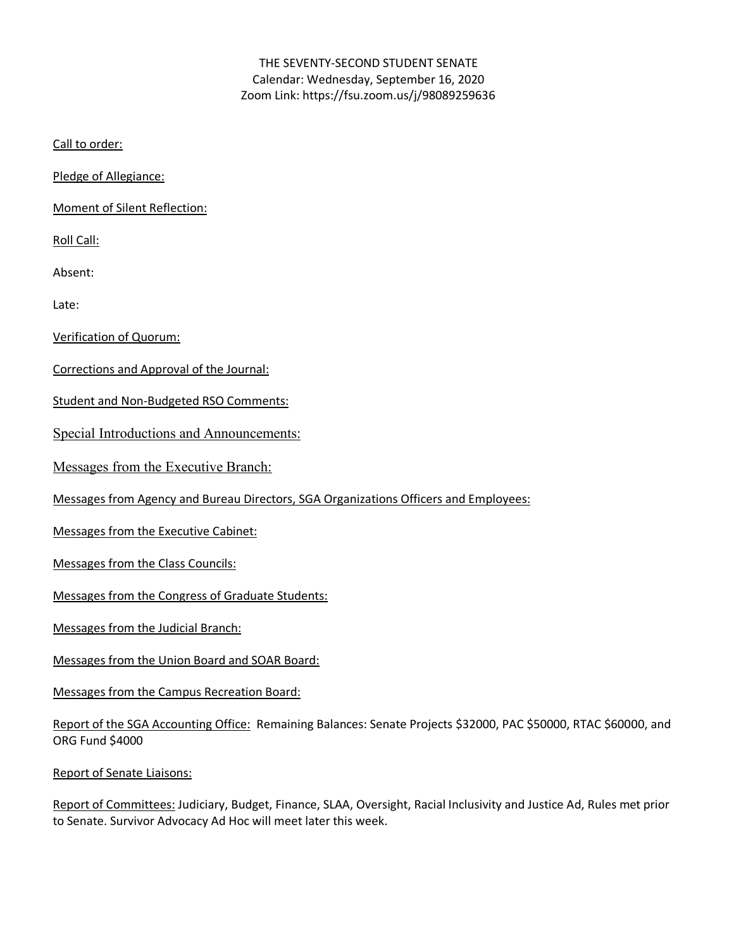## THE SEVENTY-SECOND STUDENT SENATE Calendar: Wednesday, September 16, 2020 Zoom Link: https://fsu.zoom.us/j/98089259636

Call to order:

Pledge of Allegiance:

Moment of Silent Reflection:

Roll Call:

Absent:

Late:

Verification of Quorum:

Corrections and Approval of the Journal:

Student and Non-Budgeted RSO Comments:

Special Introductions and Announcements:

Messages from the Executive Branch:

Messages from Agency and Bureau Directors, SGA Organizations Officers and Employees:

Messages from the Executive Cabinet:

Messages from the Class Councils:

Messages from the Congress of Graduate Students:

Messages from the Judicial Branch:

Messages from the Union Board and SOAR Board:

Messages from the Campus Recreation Board:

Report of the SGA Accounting Office: Remaining Balances: Senate Projects \$32000, PAC \$50000, RTAC \$60000, and ORG Fund \$4000

Report of Senate Liaisons:

Report of Committees: Judiciary, Budget, Finance, SLAA, Oversight, Racial Inclusivity and Justice Ad, Rules met prior to Senate. Survivor Advocacy Ad Hoc will meet later this week.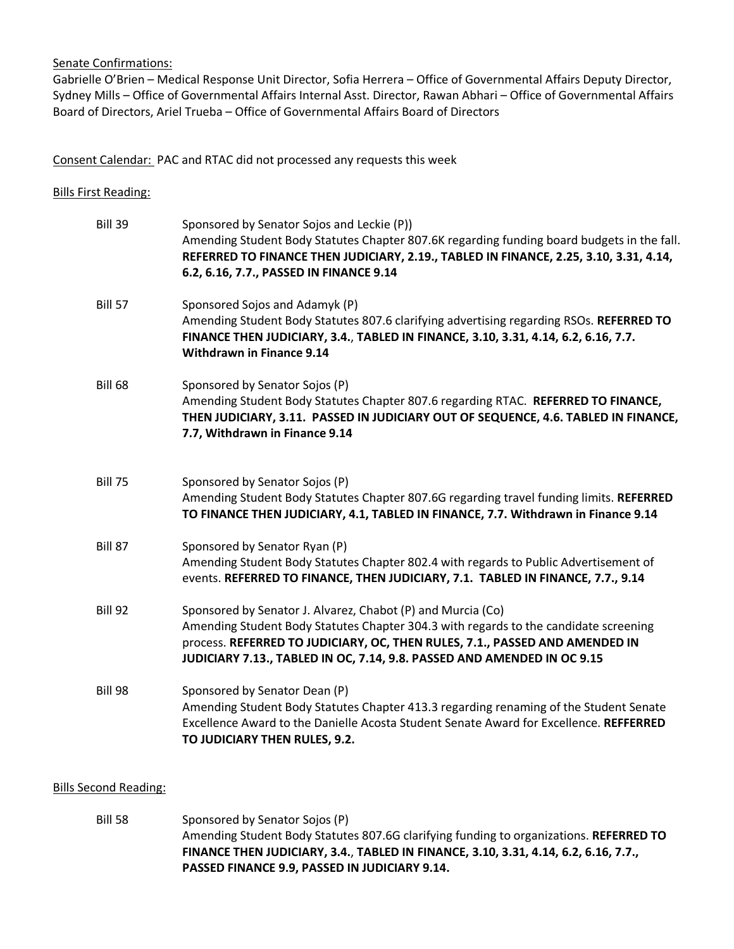Senate Confirmations:

Gabrielle O'Brien – Medical Response Unit Director, Sofia Herrera – Office of Governmental Affairs Deputy Director, Sydney Mills – Office of Governmental Affairs Internal Asst. Director, Rawan Abhari – Office of Governmental Affairs Board of Directors, Ariel Trueba – Office of Governmental Affairs Board of Directors

Consent Calendar: PAC and RTAC did not processed any requests this week

| <b>Bills First Reading:</b> |                                                                                                                                                                                                                                                                                                               |
|-----------------------------|---------------------------------------------------------------------------------------------------------------------------------------------------------------------------------------------------------------------------------------------------------------------------------------------------------------|
| Bill 39                     | Sponsored by Senator Sojos and Leckie (P))<br>Amending Student Body Statutes Chapter 807.6K regarding funding board budgets in the fall.<br>REFERRED TO FINANCE THEN JUDICIARY, 2.19., TABLED IN FINANCE, 2.25, 3.10, 3.31, 4.14,<br>6.2, 6.16, 7.7., PASSED IN FINANCE 9.14                                  |
| <b>Bill 57</b>              | Sponsored Sojos and Adamyk (P)<br>Amending Student Body Statutes 807.6 clarifying advertising regarding RSOs. REFERRED TO<br>FINANCE THEN JUDICIARY, 3.4., TABLED IN FINANCE, 3.10, 3.31, 4.14, 6.2, 6.16, 7.7.<br><b>Withdrawn in Finance 9.14</b>                                                           |
| <b>Bill 68</b>              | Sponsored by Senator Sojos (P)<br>Amending Student Body Statutes Chapter 807.6 regarding RTAC. REFERRED TO FINANCE,<br>THEN JUDICIARY, 3.11. PASSED IN JUDICIARY OUT OF SEQUENCE, 4.6. TABLED IN FINANCE,<br>7.7, Withdrawn in Finance 9.14                                                                   |
| <b>Bill 75</b>              | Sponsored by Senator Sojos (P)<br>Amending Student Body Statutes Chapter 807.6G regarding travel funding limits. REFERRED<br>TO FINANCE THEN JUDICIARY, 4.1, TABLED IN FINANCE, 7.7. Withdrawn in Finance 9.14                                                                                                |
| Bill 87                     | Sponsored by Senator Ryan (P)<br>Amending Student Body Statutes Chapter 802.4 with regards to Public Advertisement of<br>events. REFERRED TO FINANCE, THEN JUDICIARY, 7.1. TABLED IN FINANCE, 7.7., 9.14                                                                                                      |
| Bill 92                     | Sponsored by Senator J. Alvarez, Chabot (P) and Murcia (Co)<br>Amending Student Body Statutes Chapter 304.3 with regards to the candidate screening<br>process. REFERRED TO JUDICIARY, OC, THEN RULES, 7.1., PASSED AND AMENDED IN<br>JUDICIARY 7.13., TABLED IN OC, 7.14, 9.8. PASSED AND AMENDED IN OC 9.15 |
| Bill 98                     | Sponsored by Senator Dean (P)<br>Amending Student Body Statutes Chapter 413.3 regarding renaming of the Student Senate<br>Excellence Award to the Danielle Acosta Student Senate Award for Excellence. REFFERRED<br>TO JUDICIARY THEN RULES, 9.2.                                                             |

## Bills Second Reading:

Bill 58 Sponsored by Senator Sojos (P) Amending Student Body Statutes 807.6G clarifying funding to organizations. **REFERRED TO FINANCE THEN JUDICIARY, 3.4.**, **TABLED IN FINANCE, 3.10, 3.31, 4.14, 6.2, 6.16, 7.7., PASSED FINANCE 9.9, PASSED IN JUDICIARY 9.14.**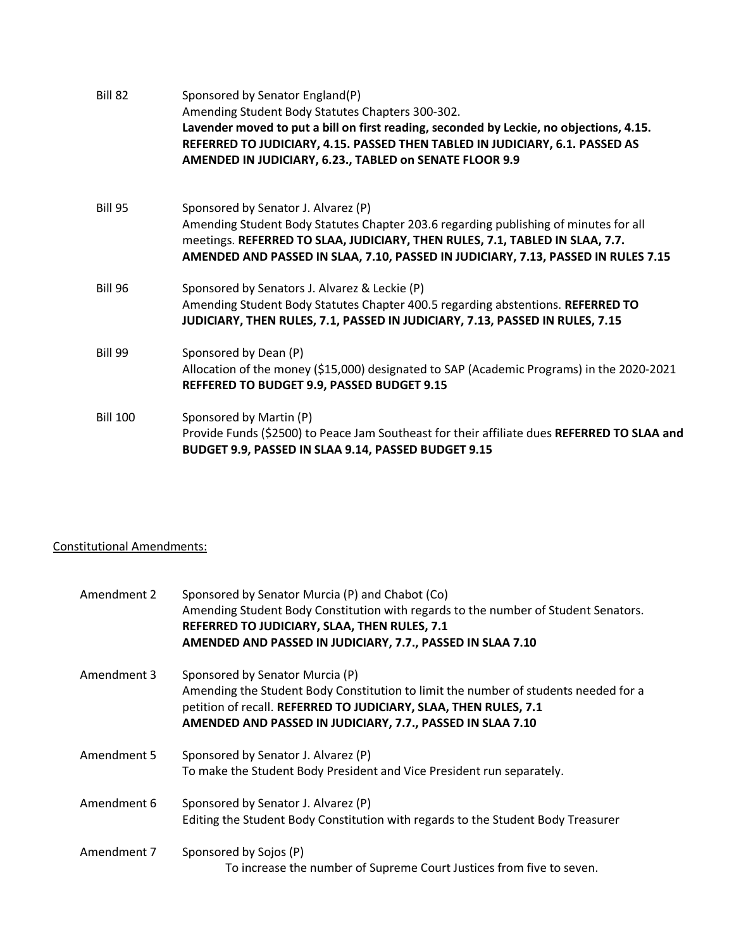| Bill 82         | Sponsored by Senator England(P)<br>Amending Student Body Statutes Chapters 300-302.<br>Lavender moved to put a bill on first reading, seconded by Leckie, no objections, 4.15.<br>REFERRED TO JUDICIARY, 4.15. PASSED THEN TABLED IN JUDICIARY, 6.1. PASSED AS<br>AMENDED IN JUDICIARY, 6.23., TABLED on SENATE FLOOR 9.9 |
|-----------------|---------------------------------------------------------------------------------------------------------------------------------------------------------------------------------------------------------------------------------------------------------------------------------------------------------------------------|
| <b>Bill 95</b>  | Sponsored by Senator J. Alvarez (P)<br>Amending Student Body Statutes Chapter 203.6 regarding publishing of minutes for all<br>meetings. REFERRED TO SLAA, JUDICIARY, THEN RULES, 7.1, TABLED IN SLAA, 7.7.<br>AMENDED AND PASSED IN SLAA, 7.10, PASSED IN JUDICIARY, 7.13, PASSED IN RULES 7.15                          |
| <b>Bill 96</b>  | Sponsored by Senators J. Alvarez & Leckie (P)<br>Amending Student Body Statutes Chapter 400.5 regarding abstentions. REFERRED TO<br>JUDICIARY, THEN RULES, 7.1, PASSED IN JUDICIARY, 7.13, PASSED IN RULES, 7.15                                                                                                          |
| <b>Bill 99</b>  | Sponsored by Dean (P)<br>Allocation of the money (\$15,000) designated to SAP (Academic Programs) in the 2020-2021<br>REFFERED TO BUDGET 9.9, PASSED BUDGET 9.15                                                                                                                                                          |
| <b>Bill 100</b> | Sponsored by Martin (P)<br>Provide Funds (\$2500) to Peace Jam Southeast for their affiliate dues REFERRED TO SLAA and<br>BUDGET 9.9, PASSED IN SLAA 9.14, PASSED BUDGET 9.15                                                                                                                                             |

## Constitutional Amendments:

| Amendment 2 | Sponsored by Senator Murcia (P) and Chabot (Co)<br>Amending Student Body Constitution with regards to the number of Student Senators.<br>REFERRED TO JUDICIARY, SLAA, THEN RULES, 7.1<br>AMENDED AND PASSED IN JUDICIARY, 7.7., PASSED IN SLAA 7.10      |
|-------------|----------------------------------------------------------------------------------------------------------------------------------------------------------------------------------------------------------------------------------------------------------|
| Amendment 3 | Sponsored by Senator Murcia (P)<br>Amending the Student Body Constitution to limit the number of students needed for a<br>petition of recall. REFERRED TO JUDICIARY, SLAA, THEN RULES, 7.1<br>AMENDED AND PASSED IN JUDICIARY, 7.7., PASSED IN SLAA 7.10 |
| Amendment 5 | Sponsored by Senator J. Alvarez (P)<br>To make the Student Body President and Vice President run separately.                                                                                                                                             |
| Amendment 6 | Sponsored by Senator J. Alvarez (P)<br>Editing the Student Body Constitution with regards to the Student Body Treasurer                                                                                                                                  |
| Amendment 7 | Sponsored by Sojos (P)<br>To increase the number of Supreme Court Justices from five to seven.                                                                                                                                                           |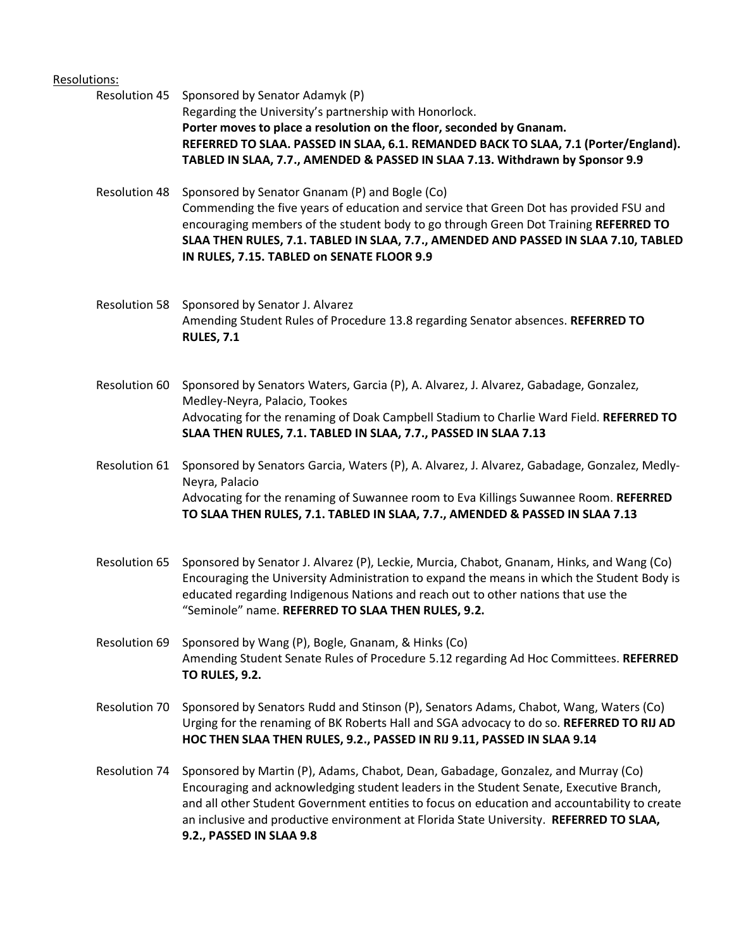## Resolutions:

Resolution 45 Sponsored by Senator Adamyk (P) Regarding the University's partnership with Honorlock. **Porter moves to place a resolution on the floor, seconded by Gnanam. REFERRED TO SLAA. PASSED IN SLAA, 6.1. REMANDED BACK TO SLAA, 7.1 (Porter/England). TABLED IN SLAA, 7.7., AMENDED & PASSED IN SLAA 7.13. Withdrawn by Sponsor 9.9**

Resolution 48 Sponsored by Senator Gnanam (P) and Bogle (Co) Commending the five years of education and service that Green Dot has provided FSU and encouraging members of the student body to go through Green Dot Training **REFERRED TO SLAA THEN RULES, 7.1. TABLED IN SLAA, 7.7., AMENDED AND PASSED IN SLAA 7.10, TABLED IN RULES, 7.15. TABLED on SENATE FLOOR 9.9**

Resolution 58 Sponsored by Senator J. Alvarez Amending Student Rules of Procedure 13.8 regarding Senator absences. **REFERRED TO RULES, 7.1**

Resolution 60 Sponsored by Senators Waters, Garcia (P), A. Alvarez, J. Alvarez, Gabadage, Gonzalez, Medley-Neyra, Palacio, Tookes Advocating for the renaming of Doak Campbell Stadium to Charlie Ward Field. **REFERRED TO SLAA THEN RULES, 7.1. TABLED IN SLAA, 7.7., PASSED IN SLAA 7.13**

Resolution 61 Sponsored by Senators Garcia, Waters (P), A. Alvarez, J. Alvarez, Gabadage, Gonzalez, Medly-Neyra, Palacio Advocating for the renaming of Suwannee room to Eva Killings Suwannee Room. **REFERRED TO SLAA THEN RULES, 7.1. TABLED IN SLAA, 7.7., AMENDED & PASSED IN SLAA 7.13**

- Resolution 65 Sponsored by Senator J. Alvarez (P), Leckie, Murcia, Chabot, Gnanam, Hinks, and Wang (Co) Encouraging the University Administration to expand the means in which the Student Body is educated regarding Indigenous Nations and reach out to other nations that use the "Seminole" name. **REFERRED TO SLAA THEN RULES, 9.2.**
- Resolution 69 Sponsored by Wang (P), Bogle, Gnanam, & Hinks (Co) Amending Student Senate Rules of Procedure 5.12 regarding Ad Hoc Committees. **REFERRED TO RULES, 9.2.**
- Resolution 70 Sponsored by Senators Rudd and Stinson (P), Senators Adams, Chabot, Wang, Waters (Co) Urging for the renaming of BK Roberts Hall and SGA advocacy to do so. **REFERRED TO RIJ AD HOC THEN SLAA THEN RULES, 9.2., PASSED IN RIJ 9.11, PASSED IN SLAA 9.14**
- Resolution 74 Sponsored by Martin (P), Adams, Chabot, Dean, Gabadage, Gonzalez, and Murray (Co) Encouraging and acknowledging student leaders in the Student Senate, Executive Branch, and all other Student Government entities to focus on education and accountability to create an inclusive and productive environment at Florida State University. **REFERRED TO SLAA, 9.2., PASSED IN SLAA 9.8**